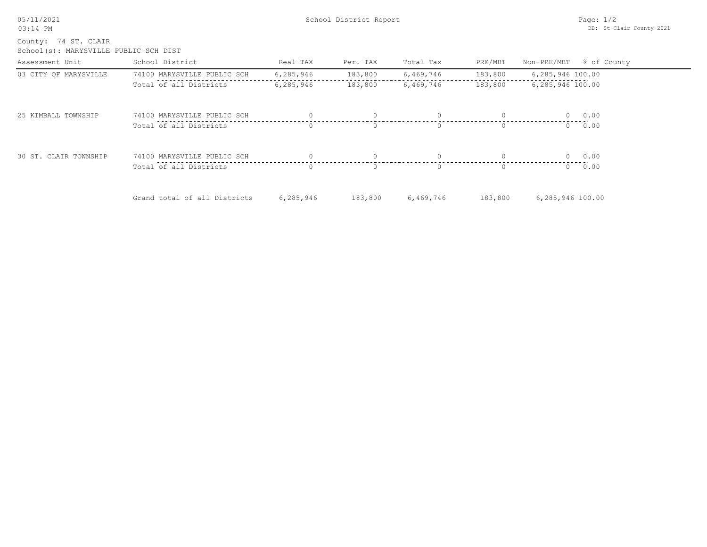05/11/2021 03:14 PM

School(s): MARYSVILLE PUBLIC SCH DIST County: 74 ST. CLAIR

| Assessment Unit       | School District              | Real TAX  | Per. TAX         | Total Tax | PRE/MBT  | Non-PRE/MBT % of County |
|-----------------------|------------------------------|-----------|------------------|-----------|----------|-------------------------|
| 03 CITY OF MARYSVILLE | 74100 MARYSVILLE PUBLIC SCH  | 6,285,946 | 183,800          | 6,469,746 | 183,800  | 6,285,946 100.00        |
|                       | Total of all Districts       | 6,285,946 | 183,800          | 6,469,746 | 183,800  | 6,285,946 100.00        |
| 25 KIMBALL TOWNSHIP   | 74100 MARYSVILLE PUBLIC SCH  |           | $\Omega$         | $\Omega$  | $\Omega$ | 0.00<br>$\Omega$        |
|                       | Total of all Districts       | $\Omega$  | $\Omega$         | $\Omega$  | $\Omega$ | 0.00<br>$\Omega$        |
| 30 ST. CLAIR TOWNSHIP | 74100 MARYSVILLE PUBLIC SCH  |           |                  |           |          | 0 0.00                  |
|                       | Total of all Districts       |           | $\left( \right)$ | O.        | $\Omega$ | 0.00<br>$\cap$          |
|                       | Grand total of all Districts | 6,285,946 | 183,800          | 6,469,746 | 183,800  | 6,285,946 100.00        |